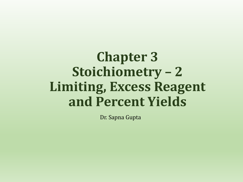# **Chapter 3 Stoichiometry – 2 Limiting, Excess Reagent and Percent Yields**

Dr. Sapna Gupta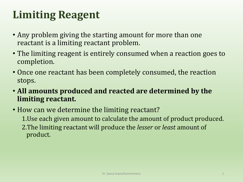# **Limiting Reagent**

- Any problem giving the starting amount for more than one reactant is a limiting reactant problem.
- The limiting reagent is entirely consumed when a reaction goes to completion.
- Once one reactant has been completely consumed, the reaction stops.
- **All amounts produced and reacted are determined by the limiting reactant.**
- How can we determine the limiting reactant? 1. Use each given amount to calculate the amount of product produced. 2.The limiting reactant will produce the *lesser* or *least* amount of product.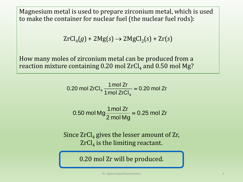Magnesium metal is used to prepare zirconium metal, which is used to make the container for nuclear fuel (the nuclear fuel rods):

$$
ZrCl_{4}(g) + 2Mg(s) \rightarrow 2MgCl_{2}(s) + Zr(s)
$$

How many moles of zirconium metal can be produced from a reaction mixture containing 0.20 mol  $\rm ZrCl_4$  and 0.50 mol Mg?

0.20 mol ZrCl<sub>4</sub> 
$$
\frac{1 \text{ mol } Zr}{1 \text{ mol } ZrCl_4} = 0.20 \text{ mol } Zr
$$

$$
0.50 \text{ mol Mg} \frac{1 \text{ mol Zr}}{2 \text{ mol Mg}} = 0.25 \text{ mol Zr}
$$

Since  $ZrCl<sub>4</sub>$  gives the lesser amount of  $Zr$ ,  $\operatorname{ZrCl}_4$  is the limiting reactant.

0.20 mol Zr will be produced.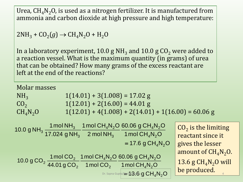Urea,  $CH_4N_2O$ , is used as a nitrogen fertilizer. It is manufactured from ammonia and carbon dioxide at high pressure and high temperature:

 $2NH_3 + CO_2(g) \rightarrow CH_4N_2O + H_2O$ 

In a laboratory experiment, 10.0 g NH<sub>3</sub> and 10.0 g CO<sub>2</sub> were added to a reaction vessel. What is the maximum quantity (in grams) of urea that can be obtained? How many grams of the excess reactant are left at the end of the reactions?

Molar masses NH<sub>3</sub> 1(14.01) + 3(1.008) = 17.02 g<br>CO<sub>2</sub> 1(12.01) + 2(16.00) = 44.01 g CO<sub>2</sub> 1(12.01) + 2(16.00) = 44.01 g<br>CH<sub>4</sub>N<sub>2</sub>O 1(12.01) + 4(1.008) + 2(14.01  $1(12.01) + 4(1.008) + 2(14.01) + 1(16.00) = 60.06$  g  $\textsf{\tiny{Drr}}, \textsf{\tiny{Sapna\,Gupta/Simif}}$ 13:6 $\textsf{\tiny{Q}}$  of  $\textsf{CH}_4\textsf{N}_2\textsf{O}$   $\parallel$  be produced  $\parallel$ 1 mol  $CH_4N_2O$ 60.06 g  $CH_4N_2O$ 1mol CO 1 mol  $CH_4N_2O$ 44.01 g CO 10.0 g CO<sub>2</sub> $\frac{1 \text{ mol CO}}{1100}$  $4^{\rm I}$   $\rm Y2}$ 4'Y2 2 4'Y2 2 2 2  $=$  17.6 g CH<sub>4</sub>N<sub>2</sub>O 1 mol  $CH_4N_2O$ 60.06 g  $CH_4N_2O$ 2 mol NH 1 mol  $CH_4N_2O$ 17.024 g NH 10.0 g NH<sub>3</sub>  $\frac{1 \text{ mol NH}}{17.00 \text{ A} + 1}$ 4'Y2 4' Y2 3 4' Y2 3 3 3  $CO<sub>2</sub>$  is the limiting reactant since it gives the lesser amount of  $CH_4N_2O$ . 13.6 g  $CH_4N_2O$  will be produced.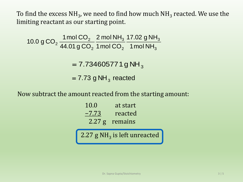To find the excess NH<sub>3</sub>, we need to find how much NH<sub>3</sub> reacted. We use the limiting reactant as our starting point.

= 7.73 g NH $_{\rm 3}$  reacted 3 3 2 3 2 2  $^2$  44.01 g CO<sub>2</sub> 1 mol CO<sub>2</sub> 1 mol NH 17.02 g NH 1mol CO 2 mol NH 44.01 g CO 10.0 g CO<sub>2</sub> $\frac{1 \text{ mol } CO}{10.0 \text{ g}}$  $= 7.734605771g NH<sub>3</sub>$ 

#### Now subtract the amount reacted from the starting amount:

| 10.0     | at start |
|----------|----------|
| $-7.73$  | reacted  |
| $2.27$ g | remains  |

2.27 g NH<sub>3</sub> is left unreacted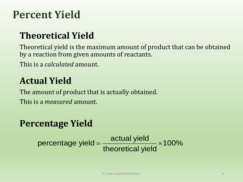## **Percent Yield**

### **Theoretical Yield**

Theoretical yield is the maximum amount of product that can be obtained by a reaction from given amounts of reactants.

This is a *calculated* amount.

#### **Actual Yield**

The amount of product that is actually obtained. This is a *measured* amount.

#### **Percentage Yield**

 $\texttt{centage Yield}\ \texttt{actual yield}\ \texttt{percentage yield} \approx 100\%$ actual yield<br>theoretical yield  $=\frac{\text{actual yield}}{\text{theoretical yield}} \times 100\%$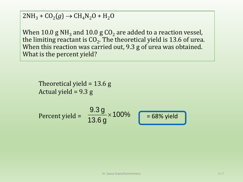$2NH_3 + CO_2(g) \rightarrow CH_4N_2O + H_2O$ 

When 10.0 g NH $_{\rm 3}$  and 10.0 g CO $_{\rm 2}$  are added to a reaction vessel, the limiting reactant is CO<sub>2</sub>. The theoretical yield is 13.6 of urea. When this reaction was carried out, 9.3 g of urea was obtained. What is the percent yield?

Theoretical yield = 13.6 g Actual yield =  $9.3 g$ Percent yield =  $\frac{9.3 \text{ g}}{13.6 \text{ g}} \times 100\%$  = 68% yield 13.6 g  $\times$